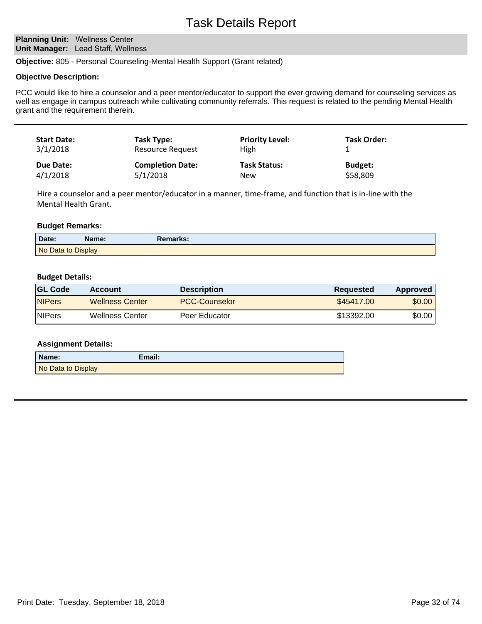# Task Details Report

## **Planning Unit: Wellness Center Unit Manager:** Lead Staff, Wellness

**Objective:** 805 - Personal Counseling-Mental Health Support (Grant related)

### **Objective Description:**

PCC would like to hire a counselor and a peer mentor/educator to support the ever growing demand for counseling services as well as engage in campus outreach while cultivating community referrals. This request is related to the pending Mental Health grant and the requirement therein.

| <b>Start Date:</b><br>3/1/2018 | Task Type:<br>Resource Request | <b>Priority Level:</b><br>High | <b>Task Order:</b> |  |
|--------------------------------|--------------------------------|--------------------------------|--------------------|--|
| Due Date:                      | <b>Completion Date:</b>        | <b>Task Status:</b>            | <b>Budget:</b>     |  |
| 4/1/2018                       | 5/1/2018                       | New                            | \$58,809           |  |

Hire a counselor and a peer mentor/educator in a manner, time-frame, and function that is in-line with the Mental Health Grant.

### **Budget Remarks:**

| Date:              | Name: | Remarks: |
|--------------------|-------|----------|
| No Data to Display |       |          |

### **Budget Details:**

| <b>GL Code</b> | Account                | <b>Description</b>   | Requested  | Approved |
|----------------|------------------------|----------------------|------------|----------|
| <b>NIPers</b>  | <b>Wellness Center</b> | <b>PCC-Counselor</b> | \$45417.00 | \$0.00   |
| <b>NIPers</b>  | Wellness Center        | Peer Educator        | \$13392.00 | \$0.00   |

### **Assignment Details:**

| Name:              | Email: |
|--------------------|--------|
| No Data to Display |        |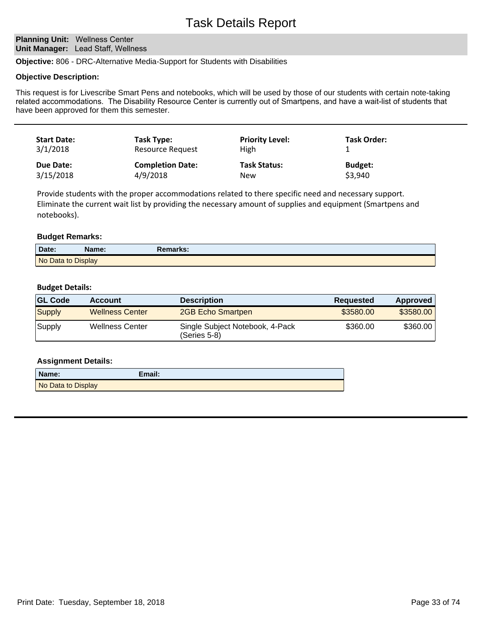# Task Details Report

## **Planning Unit: Wellness Center Unit Manager:** Lead Staff, Wellness

**Objective:** 806 - DRC-Alternative Media-Support for Students with Disabilities

### **Objective Description:**

This request is for Livescribe Smart Pens and notebooks, which will be used by those of our students with certain note-taking related accommodations. The Disability Resource Center is currently out of Smartpens, and have a wait-list of students that have been approved for them this semester.

| <b>Start Date:</b> | Task Type:              | <b>Priority Level:</b> | Task Order:    |
|--------------------|-------------------------|------------------------|----------------|
| 3/1/2018           | Resource Request        | High                   |                |
| Due Date:          | <b>Completion Date:</b> | <b>Task Status:</b>    | <b>Budget:</b> |
| 3/15/2018          | 4/9/2018                | New                    | \$3,940        |

Provide students with the proper accommodations related to there specific need and necessary support. Eliminate the current wait list by providing the necessary amount of supplies and equipment (Smartpens and notebooks).

## **Budget Remarks:**

| Date:              | Name: | <b>Remarks:</b> |
|--------------------|-------|-----------------|
| No Data to Display |       |                 |

## **Budget Details:**

| <b>GL Code</b> | <b>Account</b>         | <b>Description</b>                                | <b>Requested</b> | Approved  |
|----------------|------------------------|---------------------------------------------------|------------------|-----------|
| <b>Supply</b>  | <b>Wellness Center</b> | 2GB Echo Smartpen                                 | \$3580.00        | \$3580.00 |
| Supply         | <b>Wellness Center</b> | Single Subject Notebook, 4-Pack<br>$(Series 5-8)$ | \$360.00         | \$360.00  |

## **Assignment Details:**

| Name:              | Email: |
|--------------------|--------|
| No Data to Display |        |